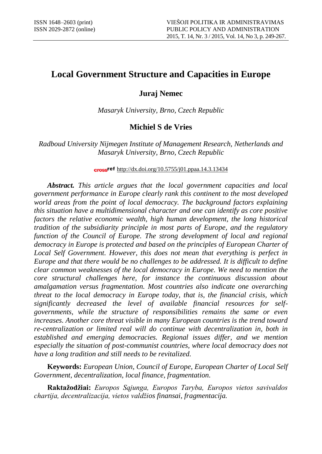# **Local Government Structure and Capacities in Europe**

**Juraj Nemec**

*Masaryk University, Brno, Czech Republic*

# **Michiel S de Vries**

*Radboud University Nijmegen Institute of Management Research, Netherlands and Masaryk University, Brno, Czech Republic*

## cross<sup>ref</sup> http://dx.doi.org/10.5755/j01.ppaa.14.3.13434

*Abstract. This article argues that the local government capacities and local government performance in Europe clearly rank this continent to the most developed world areas from the point of local democracy. The background factors explaining this situation have a multidimensional character and one can identify as core positive factors the relative economic wealth, high human development, the long historical tradition of the subsidiarity principle in most parts of Europe, and the regulatory*  function of the Council of Europe. The strong development of local and regional *democracy in Europe is protected and based on the principles of European Charter of Local Self Government. However, this does not mean that everything is perfect in Europe and that there would be no challenges to be addressed. It is difficult to define clear common weaknesses of the local democracy in Europe. We need to mention the core structural challenges here, for instance the continuous discussion about amalgamation versus fragmentation. Most countries also indicate one overarching threat to the local democracy in Europe today, that is, the financial crisis, which significantly decreased the level of available financial resources for selfgovernments, while the structure of responsibilities remains the same or even increases. Another core threat visible in many European countries is the trend toward re-centralization or limited real will do continue with decentralization in, both in established and emerging democracies. Regional issues differ, and we mention especially the situation of post-communist countries, where local democracy does not have a long tradition and still needs to be revitalized.* 

**Keywords:** *European Union, Council of Europe, European Charter of Local Self Government, decentralization, local finance, fragmentation.*

**Raktažodžiai:** *Europos Sąjunga, Europos Taryba, Europos vietos savivaldos chartija, decentralizacija, vietos valdžios finansai, fragmentacija.*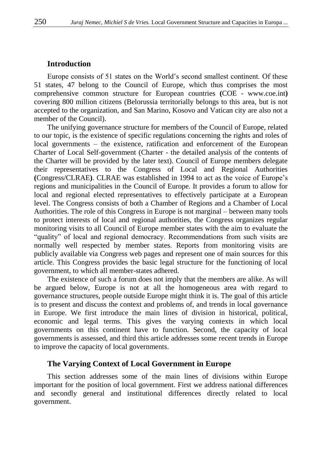## **Introduction**

Europe consists of 51 states on the World's second smallest continent. Of these 51 states, 47 belong to the Council of Europe, which thus comprises the most comprehensive common structure for European countries **(**COE - www.coe.int**)** covering 800 million citizens (Belorussia territorially belongs to this area, but is not accepted to the organization, and San Marino, Kosovo and Vatican city are also not a member of the Council).

The unifying governance structure for members of the Council of Europe, related to our topic, is the existence of specific regulations concerning the rights and roles of local governments – the existence, ratification and enforcement of the European Charter of Local Self-government (Charter - the detailed analysis of the contents of the Charter will be provided by the later text). Council of Europe members delegate their representatives to the Congress of Local and Regional Authorities **(**Congress/CLRAE**)**. CLRAE was established in 1994 to act as the voice of Europe's regions and municipalities in the Council of Europe. It provides a forum to allow for local and regional elected representatives to effectively participate at a European level. The Congress consists of both a Chamber of Regions and a Chamber of Local Authorities. The role of this Congress in Europe is not marginal – between many tools to protect interests of local and regional authorities, the Congress organizes regular monitoring visits to all Council of Europe member states with the aim to evaluate the "quality" of local and regional democracy. Recommendations from such visits are normally well respected by member states. Reports from monitoring visits are publicly available via Congress web pages and represent one of main sources for this article. This Congress provides the basic legal structure for the functioning of local government, to which all member-states adhered.

The existence of such a forum does not imply that the members are alike. As will be argued below, Europe is not at all the homogeneous area with regard to governance structures, people outside Europe might think it is. The goal of this article is to present and discuss the context and problems of, and trends in local governance in Europe. We first introduce the main lines of division in historical, political, economic and legal terms. This gives the varying contexts in which local governments on this continent have to function. Second, the capacity of local governments is assessed, and third this article addresses some recent trends in Europe to improve the capacity of local governments.

### **The Varying Context of Local Government in Europe**

This section addresses some of the main lines of divisions within Europe important for the position of local government. First we address national differences and secondly general and institutional differences directly related to local government.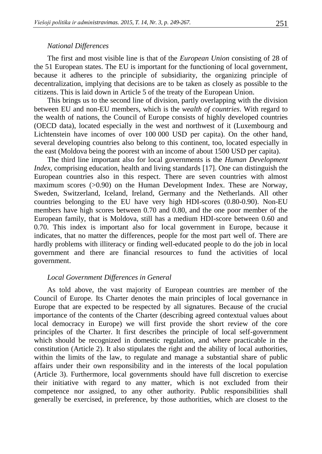#### *National Differences*

The first and most visible line is that of the *European Union* consisting of 28 of the 51 European states. The EU is important for the functioning of local government, because it adheres to the principle of subsidiarity, the organizing principle of decentralization, implying that decisions are to be taken as closely as possible to the citizens. This is laid down in Article 5 of the treaty of the European Union.

This brings us to the second line of division, partly overlapping with the division between EU and non-EU members, which is the *wealth of countries*. With regard to the wealth of nations, the Council of Europe consists of highly developed countries (OECD data), located especially in the west and northwest of it (Luxembourg and Lichtenstein have incomes of over 100 000 USD per capita). On the other hand, several developing countries also belong to this continent, too, located especially in the east (Moldova being the poorest with an income of about 1500 USD per capita).

The third line important also for local governments is the *Human Development Index*, comprising education, health and living standards [17]. One can distinguish the European countries also in this respect. There are seven countries with almost maximum scores (>0.90) on the Human Development Index. These are Norway, Sweden, Switzerland, Iceland, Ireland, Germany and the Netherlands. All other countries belonging to the EU have very high HDI-scores (0.80-0.90). Non-EU members have high scores between 0.70 and 0.80, and the one poor member of the European family, that is Moldova, still has a medium HDI-score between 0.60 and 0.70. This index is important also for local government in Europe, because it indicates, that no matter the differences, people for the most part well of. There are hardly problems with illiteracy or finding well-educated people to do the job in local government and there are financial resources to fund the activities of local government.

### *Local Government Differences in General*

As told above, the vast majority of European countries are member of the Council of Europe. Its Charter denotes the main principles of local governance in Europe that are expected to be respected by all signatures. Because of the crucial importance of the contents of the Charter (describing agreed contextual values about local democracy in Europe) we will first provide the short review of the core principles of the Charter. It first describes the principle of local self-government which should be recognized in domestic regulation, and where practicable in the constitution (Article 2). It also stipulates the right and the ability of local authorities, within the limits of the law, to regulate and manage a substantial share of public affairs under their own responsibility and in the interests of the local population (Article 3). Furthermore, local governments should have full discretion to exercise their initiative with regard to any matter, which is not excluded from their competence nor assigned, to any other authority. Public responsibilities shall generally be exercised, in preference, by those authorities, which are closest to the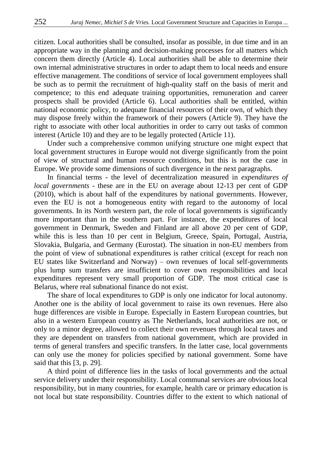citizen. Local authorities shall be consulted, insofar as possible, in due time and in an appropriate way in the planning and decision-making processes for all matters which concern them directly (Article 4). Local authorities shall be able to determine their own internal administrative structures in order to adapt them to local needs and ensure effective management. The conditions of service of local government employees shall be such as to permit the recruitment of high-quality staff on the basis of merit and competence; to this end adequate training opportunities, remuneration and career prospects shall be provided (Article 6). Local authorities shall be entitled, within national economic policy, to adequate financial resources of their own, of which they may dispose freely within the framework of their powers (Article 9). They have the right to associate with other local authorities in order to carry out tasks of common interest (Article 10) and they are to be legally protected (Article 11).

Under such a comprehensive common unifying structure one might expect that local government structures in Europe would not diverge significantly from the point of view of structural and human resource conditions, but this is not the case in Europe. We provide some dimensions of such divergence in the next paragraphs.

In financial terms - the level of decentralization measured in *expenditures of local governments -* these are in the EU on average about 12-13 per cent of GDP (2010), which is about half of the expenditures by national governments. However, even the EU is not a homogeneous entity with regard to the autonomy of local governments. In its North western part, the role of local governments is significantly more important than in the southern part. For instance, the expenditures of local government in Denmark, Sweden and Finland are all above 20 per cent of GDP, while this is less than 10 per cent in Belgium, Greece, Spain, Portugal, Austria, Slovakia, Bulgaria, and Germany (Eurostat). The situation in non-EU members from the point of view of subnational expenditures is rather critical (except for reach non EU states like Switzerland and Norway) – own revenues of local self-governments plus lump sum transfers are insufficient to cover own responsibilities and local expenditures represent very small proportion of GDP. The most critical case is Belarus, where real subnational finance do not exist.

The share of local expenditures to GDP is only one indicator for local autonomy. Another one is the ability of local government to raise its own revenues. Here also huge differences are visible in Europe. Especially in Eastern European countries, but also in a western European country as The Netherlands, local authorities are not, or only to a minor degree, allowed to collect their own revenues through local taxes and they are dependent on transfers from national government, which are provided in terms of general transfers and specific transfers. In the latter case, local governments can only use the money for policies specified by national government. Some have said that this [3, p. 29].

A third point of difference lies in the tasks of local governments and the actual service delivery under their responsibility. Local communal services are obvious local responsibility, but in many countries, for example, health care or primary education is not local but state responsibility. Countries differ to the extent to which national of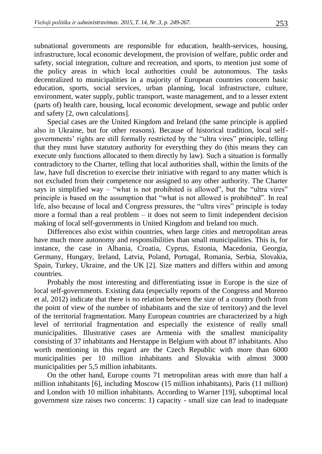subnational governments are responsible for education, health-services, housing, infrastructure, local economic development, the provision of welfare, public order and safety, social integration, culture and recreation, and sports, to mention just some of the policy areas in which local authorities could be autonomous. The tasks decentralized to municipalities in a majority of European countries concern basic education, sports, social services, urban planning, local infrastructure, culture, environment, water supply, public transport, waste management, and to a lesser extent (parts of) health care, housing, local economic development, sewage and public order and safety [2, own calculations].

Special cases are the United Kingdom and Ireland (the same principle is applied also in Ukraine, but for other reasons). Because of historical tradition, local selfgovernments' rights are still formally restricted by the "ultra vires" principle, telling that they must have statutory authority for everything they do (this means they can execute only functions allocated to them directly by law). Such a situation is formally contradictory to the Charter, telling that local authorities shall, within the limits of the law, have full discretion to exercise their initiative with regard to any matter which is not excluded from their competence nor assigned to any other authority. The Charter says in simplified way – "what is not prohibited is allowed", but the "ultra vires" principle is based on the assumption that "what is not allowed is prohibited". In real life, also because of local and Congress pressures, the "ultra vires" principle is today more a formal than a real problem – it does not seem to limit independent decision making of local self-governments in United Kingdom and Ireland too much.

Differences also exist within countries, when large cities and metropolitan areas have much more autonomy and responsibilities than small municipalities. This is, for instance, the case in Albania, Croatia, Cyprus, Estonia, Macedonia, Georgia, Germany, Hungary, Ireland, Latvia, Poland, Portugal, Romania, Serbia, Slovakia, Spain, Turkey, Ukraine, and the UK [2]. Size matters and differs within and among countries.

Probably the most interesting and differentiating issue in Europe is the size of local self-governments. Existing data (especially reports of the Congress and Moreno et al, 2012) indicate that there is no relation between the size of a country (both from the point of view of the number of inhabitants and the size of territory) and the level of the territorial fragmentation. Many European countries are characterized by a high level of territorial fragmentation and especially the existence of really small municipalities. Illustrative cases are Armenia with the smallest municipality consisting of 37 inhabitants and Herstappe in Belgium with about 87 inhabitants. Also worth mentioning in this regard are the Czech Republic with more than 6000 municipalities per 10 million inhabitants and Slovakia with almost 3000 municipalities per 5,5 million inhabitants.

On the other hand, Europe counts 71 metropolitan areas with more than half a million inhabitants [6], including Moscow (15 million inhabitants), Paris (11 million) and London with 10 million inhabitants. According to Warner [19], suboptimal local government size raises two concerns: 1) capacity - small size can lead to inadequate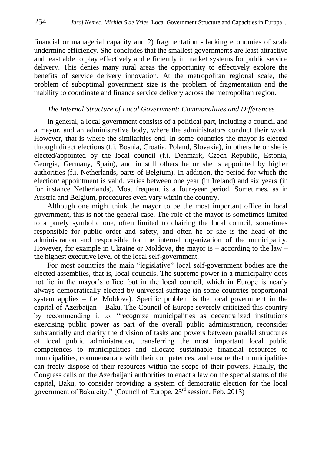financial or managerial capacity and 2) fragmentation - lacking economies of scale undermine efficiency. She concludes that the smallest governments are least attractive and least able to play effectively and efficiently in market systems for public service delivery. This denies many rural areas the opportunity to effectively explore the benefits of service delivery innovation. At the metropolitan regional scale, the problem of suboptimal government size is the problem of fragmentation and the inability to coordinate and finance service delivery across the metropolitan region.

#### *The Internal Structure of Local Government: Commonalities and Differences*

In general, a local government consists of a political part, including a council and a mayor, and an administrative body, where the administrators conduct their work. However, that is where the similarities end. In some countries the mayor is elected through direct elections (f.i. Bosnia, Croatia, Poland, Slovakia), in others he or she is elected/appointed by the local council (f.i. Denmark, Czech Republic, Estonia, Georgia, Germany, Spain), and in still others he or she is appointed by higher authorities (f.i. Netherlands, parts of Belgium). In addition, the period for which the election/ appointment is valid, varies between one year (in Ireland) and six years (in for instance Netherlands). Most frequent is a four-year period. Sometimes, as in Austria and Belgium, procedures even vary within the country.

Although one might think the mayor to be the most important office in local government, this is not the general case. The role of the mayor is sometimes limited to a purely symbolic one, often limited to chairing the local council, sometimes responsible for public order and safety, and often he or she is the head of the administration and responsible for the internal organization of the municipality. However, for example in Ukraine or Moldova, the mayor is  $-$  according to the law  $$ the highest executive level of the local self-government.

For most countries the main "legislative" local self-government bodies are the elected assemblies, that is, local councils. The supreme power in a municipality does not lie in the mayor's office, but in the local council, which in Europe is nearly always democratically elected by universal suffrage (in some countries proportional system applies – f.e. Moldova). Specific problem is the local government in the capital of Azerbaijan – Baku. The Council of Europe severely criticized this country by recommending it to: "recognize municipalities as decentralized institutions exercising public power as part of the overall public administration, reconsider substantially and clarify the division of tasks and powers between parallel structures of local public administration, transferring the most important local public competences to municipalities and allocate sustainable financial resources to municipalities, commensurate with their competences, and ensure that municipalities can freely dispose of their resources within the scope of their powers. Finally, the Congress calls on the Azerbaijani authorities to enact a law on the special status of the capital, Baku, to consider providing a system of democratic election for the local government of Baku city." (Council of Europe,  $23<sup>rd</sup>$  session, Feb. 2013)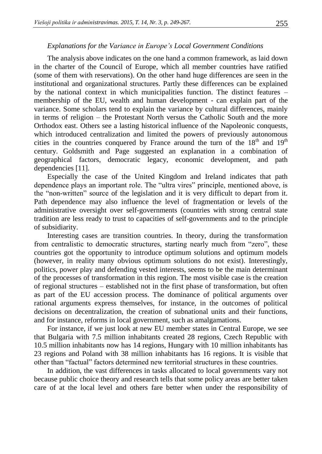### *Explanations for the Variance in Europe's Local Government Conditions*

The analysis above indicates on the one hand a common framework, as laid down in the charter of the Council of Europe, which all member countries have ratified (some of them with reservations). On the other hand huge differences are seen in the institutional and organizational structures. Partly these differences can be explained by the national context in which municipalities function. The distinct features – membership of the EU, wealth and human development - can explain part of the variance. Some scholars tend to explain the variance by cultural differences, mainly in terms of religion – the Protestant North versus the Catholic South and the more Orthodox east. Others see a lasting historical influence of the Napoleonic conquests, which introduced centralization and limited the powers of previously autonomous cities in the countries conquered by France around the turn of the  $18<sup>th</sup>$  and  $19<sup>th</sup>$ century. Goldsmith and Page suggested an explanation in a combination of geographical factors, democratic legacy, economic development, and path dependencies [11].

Especially the case of the United Kingdom and Ireland indicates that path dependence plays an important role. The "ultra vires" principle, mentioned above, is the "non-written" source of the legislation and it is very difficult to depart from it. Path dependence may also influence the level of fragmentation or levels of the administrative oversight over self-governments (countries with strong central state tradition are less ready to trust to capacities of self-governments and to the principle of subsidiarity.

Interesting cases are transition countries. In theory, during the transformation from centralistic to democratic structures, starting nearly much from "zero", these countries got the opportunity to introduce optimum solutions and optimum models (however, in reality many obvious optimum solutions do not exist). Interestingly, politics, power play and defending vested interests, seems to be the main determinant of the processes of transformation in this region. The most visible case is the creation of regional structures – established not in the first phase of transformation, but often as part of the EU accession process. The dominance of political arguments over rational arguments express themselves, for instance, in the outcomes of political decisions on decentralization, the creation of subnational units and their functions, and for instance, reforms in local government, such as amalgamations.

For instance, if we just look at new EU member states in Central Europe, we see that Bulgaria with 7.5 million inhabitants created 28 regions, Czech Republic with 10.5 million inhabitants now has 14 regions, Hungary with 10 million inhabitants has 23 regions and Poland with 38 million inhabitants has 16 regions. It is visible that other than "factual" factors determined new territorial structures in these countries.

In addition, the vast differences in tasks allocated to local governments vary not because public choice theory and research tells that some policy areas are better taken care of at the local level and others fare better when under the responsibility of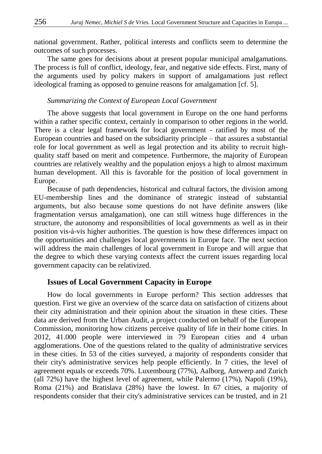national government. Rather, political interests and conflicts seem to determine the outcomes of such processes.

The same goes for decisions about at present popular municipal amalgamations. The process is full of conflict, ideology, fear, and negative side effects. First, many of the arguments used by policy makers in support of amalgamations just reflect ideological framing as opposed to genuine reasons for amalgamation [cf. 5].

### *Summarizing the Context of European Local Government*

The above suggests that local government in Europe on the one hand performs within a rather specific context, certainly in comparison to other regions in the world. There is a clear legal framework for local government - ratified by most of the European countries and based on the subsidiarity principle – that assures a substantial role for local government as well as legal protection and its ability to recruit highquality staff based on merit and competence. Furthermore, the majority of European countries are relatively wealthy and the population enjoys a high to almost maximum human development. All this is favorable for the position of local government in Europe.

Because of path dependencies, historical and cultural factors, the division among EU-membership lines and the dominance of strategic instead of substantial arguments, but also because some questions do not have definite answers (like fragmentation versus amalgamation), one can still witness huge differences in the structure, the autonomy and responsibilities of local governments as well as in their position vis-à-vis higher authorities. The question is how these differences impact on the opportunities and challenges local governments in Europe face. The next section will address the main challenges of local government in Europe and will argue that the degree to which these varying contexts affect the current issues regarding local government capacity can be relativized.

#### **Issues of Local Government Capacity in Europe**

How do local governments in Europe perform? This section addresses that question. First we give an overview of the scarce data on satisfaction of citizens about their city administration and their opinion about the situation in these cities. These data are derived from the Urban Audit, a project conducted on behalf of the European Commission, monitoring how citizens perceive quality of life in their home cities. In 2012, 41.000 people were interviewed in 79 European cities and 4 urban agglomerations. One of the questions related to the quality of administrative services in these cities. In 53 of the cities surveyed, a majority of respondents consider that their city's administrative services help people efficiently. In 7 cities, the level of agreement equals or exceeds 70%. Luxembourg (77%), Aalborg, Antwerp and Zurich (all 72%) have the highest level of agreement, while Palermo (17%), Napoli (19%), Roma (21%) and Bratislava (28%) have the lowest. In 67 cities, a majority of respondents consider that their city's administrative services can be trusted, and in 21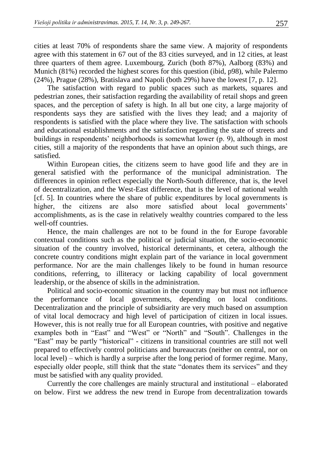cities at least 70% of respondents share the same view. A majority of respondents agree with this statement in 67 out of the 83 cities surveyed, and in 12 cities, at least three quarters of them agree. Luxembourg, Zurich (both 87%), Aalborg (83%) and Munich (81%) recorded the highest scores for this question (ibid, p98), while Palermo (24%), Prague (28%), Bratislava and Napoli (both 29%) have the lowest [7, p. 12].

The satisfaction with regard to public spaces such as markets, squares and pedestrian zones, their satisfaction regarding the availability of retail shops and green spaces, and the perception of safety is high. In all but one city, a large majority of respondents says they are satisfied with the lives they lead; and a majority of respondents is satisfied with the place where they live. The satisfaction with schools and educational establishments and the satisfaction regarding the state of streets and buildings in respondents' neighborhoods is somewhat lower (p. 9), although in most cities, still a majority of the respondents that have an opinion about such things, are satisfied.

Within European cities, the citizens seem to have good life and they are in general satisfied with the performance of the municipal administration. The differences in opinion reflect especially the North-South difference, that is, the level of decentralization, and the West-East difference, that is the level of national wealth [cf. 5]. In countries where the share of public expenditures by local governments is higher, the citizens are also more satisfied about local governments' accomplishments, as is the case in relatively wealthy countries compared to the less well-off countries.

Hence, the main challenges are not to be found in the for Europe favorable contextual conditions such as the political or judicial situation, the socio-economic situation of the country involved, historical determinants, et cetera, although the concrete country conditions might explain part of the variance in local government performance. Nor are the main challenges likely to be found in human resource conditions, referring, to illiteracy or lacking capability of local government leadership, or the absence of skills in the administration.

Political and socio-economic situation in the country may but must not influence the performance of local governments, depending on local conditions. Decentralization and the principle of subsidiarity are very much based on assumption of vital local democracy and high level of participation of citizen in local issues. However, this is not really true for all European countries, with positive and negative examples both in "East" and "West" or "North" and "South". Challenges in the "East" may be partly "historical" - citizens in transitional countries are still not well prepared to effectively control politicians and bureaucrats (neither on central, nor on local level) – which is hardly a surprise after the long period of former regime. Many, especially older people, still think that the state "donates them its services" and they must be satisfied with any quality provided.

Currently the core challenges are mainly structural and institutional – elaborated on below. First we address the new trend in Europe from decentralization towards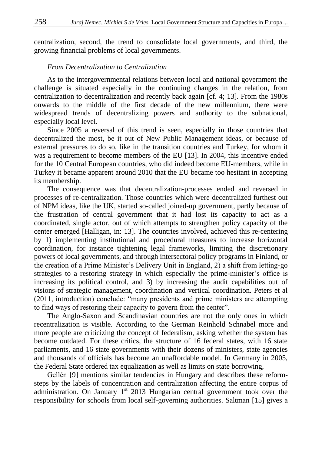centralization, second, the trend to consolidate local governments, and third, the growing financial problems of local governments.

### *From Decentralization to Centralization*

As to the intergovernmental relations between local and national government the challenge is situated especially in the continuing changes in the relation, from centralization to decentralization and recently back again [cf. 4; 13]. From the 1980s onwards to the middle of the first decade of the new millennium, there were widespread trends of decentralizing powers and authority to the subnational, especially local level.

Since 2005 a reversal of this trend is seen, especially in those countries that decentralized the most, be it out of New Public Management ideas, or because of external pressures to do so, like in the transition countries and Turkey, for whom it was a requirement to become members of the EU [13]. In 2004, this incentive ended for the 10 Central European countries, who did indeed become EU-members, while in Turkey it became apparent around 2010 that the EU became too hesitant in accepting its membership.

The consequence was that decentralization-processes ended and reversed in processes of re-centralization. Those countries which were decentralized furthest out of NPM ideas, like the UK, started so-called joined-up government, partly because of the frustration of central government that it had lost its capacity to act as a coordinated, single actor, out of which attempts to strengthen policy capacity of the center emerged [Halligan, in: 13]. The countries involved, achieved this re-centering by 1) implementing institutional and procedural measures to increase horizontal coordination, for instance tightening legal frameworks, limiting the discretionary powers of local governments, and through intersectoral policy programs in Finland, or the creation of a Prime Minister's Delivery Unit in England, 2) a shift from letting-go strategies to a restoring strategy in which especially the prime-minister's office is increasing its political control, and 3) by increasing the audit capabilities out of visions of strategic management, coordination and vertical coordination. Peters et al (2011, introduction) conclude: "many presidents and prime ministers are attempting to find ways of restoring their capacity to govern from the center".

The Anglo-Saxon and Scandinavian countries are not the only ones in which recentralization is visible. According to the German Reinhold Schnabel more and more people are criticizing the concept of federalism, asking whether the system has become outdated. For these critics, the structure of 16 federal states, with 16 state parliaments, and 16 state governments with their dozens of ministers, state agencies and thousands of officials has become an unaffordable model. In Germany in 2005, the Federal State ordered tax equalization as well as limits on state borrowing,

Gellén [9] mentions similar tendencies in Hungary and describes these reformsteps by the labels of concentration and centralization affecting the entire corpus of administration. On January  $1<sup>st</sup>$  2013 Hungarian central government took over the responsibility for schools from local self-governing authorities. Saltman [15] gives a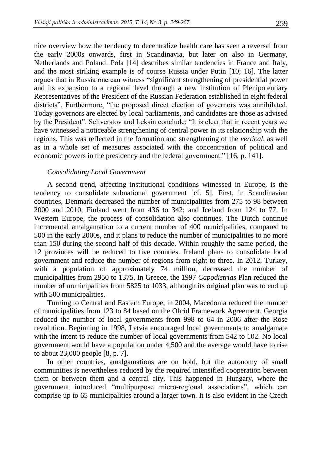nice overview how the tendency to decentralize health care has seen a reversal from the early 2000s onwards, first in Scandinavia, but later on also in Germany, Netherlands and Poland. Pola [14] describes similar tendencies in France and Italy, and the most striking example is of course Russia under Putin [10; 16]. The latter argues that in Russia one can witness "significant strengthening of presidential power and its expansion to a regional level through a new institution of Plenipotentiary Representatives of the President of the Russian Federation established in eight federal districts". Furthermore, "the proposed direct election of governors was annihilated. Today governors are elected by local parliaments, and candidates are those as advised by the President". Seliverstov and Leksin conclude; "It is clear that in recent years we have witnessed a noticeable strengthening of central power in its relationship with the regions. This was reflected in the formation and strengthening of the *vertical,* as well as in a whole set of measures associated with the concentration of political and economic powers in the presidency and the federal government." [16, p. 141].

## *Consolidating Local Government*

A second trend, affecting institutional conditions witnessed in Europe, is the tendency to consolidate subnational government [cf. 5]. First, in Scandinavian countries, Denmark decreased the number of municipalities from 275 to 98 between 2000 and 2010; Finland went from 436 to 342; and Iceland from 124 to 77. In Western Europe, the process of consolidation also continues. The Dutch continue incremental amalgamation to a current number of 400 municipalities, compared to 500 in the early 2000s, and it plans to reduce the number of municipalities to no more than 150 during the second half of this decade. Within roughly the same period, the 12 provinces will be reduced to five counties. Ireland plans to consolidate local government and reduce the number of regions from eight to three. In 2012, Turkey, with a population of approximately 74 million, decreased the number of municipalities from 2950 to 1375. In Greece, the 1997 *Capodistrias* Plan reduced the number of municipalities from 5825 to 1033, although its original plan was to end up with 500 municipalities.

Turning to Central and Eastern Europe, in 2004, Macedonia reduced the number of municipalities from 123 to 84 based on the Ohrid Framework Agreement. Georgia reduced the number of local governments from 998 to 64 in 2006 after the Rose revolution. Beginning in 1998, Latvia encouraged local governments to amalgamate with the intent to reduce the number of local governments from 542 to 102. No local government would have a population under 4,500 and the average would have to rise to about 23,000 people [8, p. 7].

In other countries, amalgamations are on hold, but the autonomy of small communities is nevertheless reduced by the required intensified cooperation between them or between them and a central city. This happened in Hungary, where the government introduced "multipurpose micro-regional associations", which can comprise up to 65 municipalities around a larger town. It is also evident in the Czech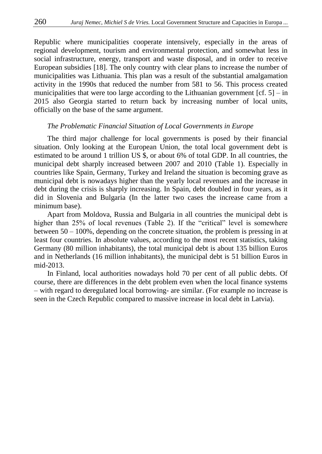Republic where municipalities cooperate intensively, especially in the areas of regional development, tourism and environmental protection, and somewhat less in social infrastructure, energy, transport and waste disposal, and in order to receive European subsidies [18]. The only country with clear plans to increase the number of municipalities was Lithuania. This plan was a result of the substantial amalgamation activity in the 1990s that reduced the number from 581 to 56. This process created municipalities that were too large according to the Lithuanian government  $[cf. 5] - in$ 2015 also Georgia started to return back by increasing number of local units, officially on the base of the same argument.

#### *The Problematic Financial Situation of Local Governments in Europe*

The third major challenge for local governments is posed by their financial situation. Only looking at the European Union, the total local government debt is estimated to be around 1 trillion US \$, or about 6% of total GDP. In all countries, the municipal debt sharply increased between 2007 and 2010 (Table 1). Especially in countries like Spain, Germany, Turkey and Ireland the situation is becoming grave as municipal debt is nowadays higher than the yearly local revenues and the increase in debt during the crisis is sharply increasing. In Spain, debt doubled in four years, as it did in Slovenia and Bulgaria (In the latter two cases the increase came from a minimum base).

Apart from Moldova, Russia and Bulgaria in all countries the municipal debt is higher than 25% of local revenues (Table 2). If the "critical" level is somewhere between 50 – 100%, depending on the concrete situation, the problem is pressing in at least four countries. In absolute values, according to the most recent statistics, taking Germany (80 million inhabitants), the total municipal debt is about 135 billion Euros and in Netherlands (16 million inhabitants), the municipal debt is 51 billion Euros in mid-2013.

In Finland, local authorities nowadays hold 70 per cent of all public debts. Of course, there are differences in the debt problem even when the local finance systems – with regard to deregulated local borrowing- are similar. (For example no increase is seen in the Czech Republic compared to massive increase in local debt in Latvia).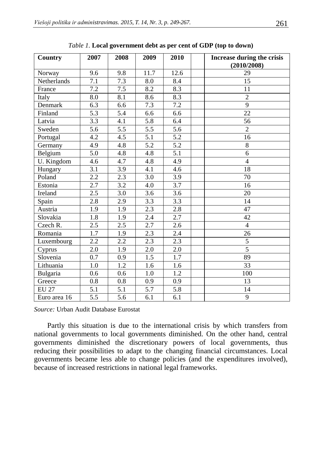| Country      | 2007             | 2008             | 2009             | 2010             | <b>Increase during the crisis</b><br>(2010/2008) |
|--------------|------------------|------------------|------------------|------------------|--------------------------------------------------|
| Norway       | 9.6              | 9.8              | 11.7             | 12.6             | 29                                               |
| Netherlands  | 7.1              | 7.3              | 8.0              | 8.4              | 15                                               |
| France       | 7.2              | 7.5              | 8.2              | 8.3              | 11                                               |
| Italy        | 8.0              | $\overline{8.1}$ | 8.6              | $\overline{8.3}$ | $\overline{2}$                                   |
| Denmark      | 6.3              | 6.6              | 7.3              | 7.2              | $\overline{9}$                                   |
| Finland      | $\overline{5.3}$ | $\overline{5.4}$ | 6.6              | 6.6              | 22                                               |
| Latvia       | $\overline{3.3}$ | $\overline{4.1}$ | $\overline{5.8}$ | 6.4              | $\overline{56}$                                  |
| Sweden       | $\overline{5.6}$ | $\overline{5.5}$ | $\overline{5.5}$ | $\overline{5.6}$ | $\overline{2}$                                   |
| Portugal     | 4.2              | 4.5              | $\overline{5.1}$ | 5.2              | 16                                               |
| Germany      | 4.9              | 4.8              | $\overline{5.2}$ | $\overline{5.2}$ | $\overline{8}$                                   |
| Belgium      | 5.0              | 4.8              | 4.8              | $\overline{5.1}$ | 6                                                |
| U. Kingdom   | 4.6              | 4.7              | 4.8              | 4.9              | $\overline{4}$                                   |
| Hungary      | 3.1              | 3.9              | 4.1              | $4.\overline{6}$ | 18                                               |
| Poland       | 2.2              | 2.3              | 3.0              | 3.9              | 70                                               |
| Estonia      | 2.7              | $\overline{3.2}$ | 4.0              | $\overline{3.7}$ | 16                                               |
| Ireland      | 2.5              | 3.0              | 3.6              | 3.6              | 20                                               |
| Spain        | 2.8              | 2.9              | $\overline{3.3}$ | $\overline{3.3}$ | 14                                               |
| Austria      | 1.9              | 1.9              | 2.3              | $2.8\,$          | 47                                               |
| Slovakia     | 1.8              | 1.9              | 2.4              | 2.7              | 42                                               |
| Czech R.     | $\overline{2.5}$ | $\overline{2.5}$ | $\overline{2.7}$ | 2.6              | $\overline{4}$                                   |
| Romania      | 1.7              | 1.9              | 2.3              | 2.4              | 26                                               |
| Luxembourg   | 2.2              | 2.2              | 2.3              | 2.3              | 5                                                |
| Cyprus       | 2.0              | 1.9              | 2.0              | $2.0\,$          | $\overline{5}$                                   |
| Slovenia     | 0.7              | 0.9              | 1.5              | 1.7              | 89                                               |
| Lithuania    | 1.0              | $\overline{1.2}$ | 1.6              | 1.6              | 33                                               |
| Bulgaria     | 0.6              | 0.6              | 1.0              | 1.2              | 100                                              |
| Greece       | 0.8              | 0.8              | 0.9              | 0.9              | 13                                               |
| <b>EU 27</b> | $\overline{5.1}$ | $\overline{5.1}$ | $\overline{5.7}$ | $\overline{5.8}$ | 14                                               |
| Euro area 16 | 5.5              | 5.6              | 6.1              | 6.1              | 9                                                |

*Table 1.* **Local government debt as per cent of GDP (top to down)**

*Source:* Urban Audit Database Eurostat

Partly this situation is due to the international crisis by which transfers from national governments to local governments diminished. On the other hand, central governments diminished the discretionary powers of local governments, thus reducing their possibilities to adapt to the changing financial circumstances. Local governments became less able to change policies (and the expenditures involved), because of increased restrictions in national legal frameworks.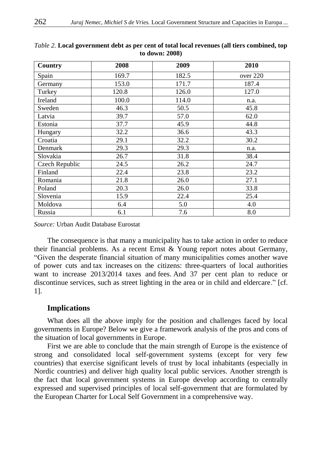| Country        | 2008  | 2009  | 2010     |
|----------------|-------|-------|----------|
| Spain          | 169.7 | 182.5 | over 220 |
| Germany        | 153.0 | 171.7 | 187.4    |
| Turkey         | 120.8 | 126.0 | 127.0    |
| Ireland        | 100.0 | 114.0 | n.a.     |
| Sweden         | 46.3  | 50.5  | 45.8     |
| Latvia         | 39.7  | 57.0  | 62.0     |
| Estonia        | 37.7  | 45.9  | 44.8     |
| Hungary        | 32.2  | 36.6  | 43.3     |
| Croatia        | 29.1  | 32.2  | 30.2     |
| Denmark        | 29.3  | 29.3  | n.a.     |
| Slovakia       | 26.7  | 31.8  | 38.4     |
| Czech Republic | 24.5  | 26.2  | 24.7     |
| Finland        | 22.4  | 23.8  | 23.2     |
| Romania        | 21.8  | 26.0  | 27.1     |
| Poland         | 20.3  | 26.0  | 33.8     |
| Slovenia       | 15.9  | 22.4  | 25.4     |
| Moldova        | 6.4   | 5.0   | 4.0      |
| Russia         | 6.1   | 7.6   | 8.0      |

#### *Table 2.* **Local government debt as per cent of total local revenues (all tiers combined, top to down: 2008)**

*Source:* Urban Audit Database Eurostat

The consequence is that many a municipality has to take action in order to reduce their financial problems. As a recent Ernst & Young report notes about Germany, "Given the desperate financial situation of many municipalities comes another wave of power cuts and tax increases on the citizens: three-quarters of local authorities want to increase 2013/2014 taxes and fees. And 37 per cent plan to reduce or discontinue services, such as street lighting in the area or in child and eldercare." [cf. 1].

# **Implications**

What does all the above imply for the position and challenges faced by local governments in Europe? Below we give a framework analysis of the pros and cons of the situation of local governments in Europe.

First we are able to conclude that the main strength of Europe is the existence of strong and consolidated local self-government systems (except for very few countries) that exercise significant levels of trust by local inhabitants (especially in Nordic countries) and deliver high quality local public services. Another strength is the fact that local government systems in Europe develop according to centrally expressed and supervised principles of local self-government that are formulated by the European Charter for Local Self Government in a comprehensive way.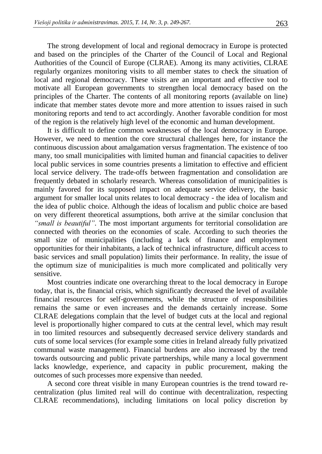The strong development of local and regional democracy in Europe is protected and based on the principles of the Charter of the Council of Local and Regional Authorities of the Council of Europe (CLRAE). Among its many activities, CLRAE regularly organizes monitoring visits to all member states to check the situation of local and regional democracy. These visits are an important and effective tool to motivate all European governments to strengthen local democracy based on the principles of the Charter. The contents of all monitoring reports (available on line) indicate that member states devote more and more attention to issues raised in such monitoring reports and tend to act accordingly. Another favorable condition for most of the region is the relatively high level of the economic and human development.

It is difficult to define common weaknesses of the local democracy in Europe. However, we need to mention the core structural challenges here, for instance the continuous discussion about amalgamation versus fragmentation. The existence of too many, too small municipalities with limited human and financial capacities to deliver local public services in some countries presents a limitation to effective and efficient local service delivery. The trade-offs between fragmentation and consolidation are frequently debated in scholarly research. Whereas consolidation of municipalities is mainly favored for its supposed impact on adequate service delivery, the basic argument for smaller local units relates to local democracy - the idea of localism and the idea of public choice. Although the ideas of localism and public choice are based on very different theoretical assumptions, both arrive at the similar conclusion that *"small is beautiful"*. The most important arguments for territorial consolidation are connected with theories on the economies of scale. According to such theories the small size of municipalities (including a lack of finance and employment opportunities for their inhabitants, a lack of technical infrastructure, difficult access to basic services and small population) limits their performance. In reality, the issue of the optimum size of municipalities is much more complicated and politically very sensitive.

Most countries indicate one overarching threat to the local democracy in Europe today, that is, the financial crisis, which significantly decreased the level of available financial resources for self-governments, while the structure of responsibilities remains the same or even increases and the demands certainly increase. Some CLRAE delegations complain that the level of budget cuts at the local and regional level is proportionally higher compared to cuts at the central level, which may result in too limited resources and subsequently decreased service delivery standards and cuts of some local services (for example some cities in Ireland already fully privatized communal waste management). Financial burdens are also increased by the trend towards outsourcing and public private partnerships, while many a local government lacks knowledge, experience, and capacity in public procurement, making the outcomes of such processes more expensive than needed.

A second core threat visible in many European countries is the trend toward recentralization (plus limited real will do continue with decentralization, respecting CLRAE recommendations), including limitations on local policy discretion by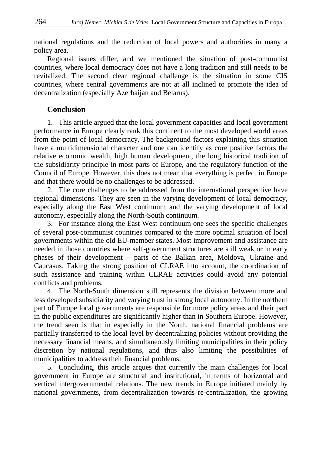national regulations and the reduction of local powers and authorities in many a policy area.

Regional issues differ, and we mentioned the situation of post-communist countries, where local democracy does not have a long tradition and still needs to be revitalized. The second clear regional challenge is the situation in some CIS countries, where central governments are not at all inclined to promote the idea of decentralization (especially Azerbaijan and Belarus).

# **Conclusion**

1. This article argued that the local government capacities and local government performance in Europe clearly rank this continent to the most developed world areas from the point of local democracy. The background factors explaining this situation have a multidimensional character and one can identify as core positive factors the relative economic wealth, high human development, the long historical tradition of the subsidiarity principle in most parts of Europe, and the regulatory function of the Council of Europe. However, this does not mean that everything is perfect in Europe and that there would be no challenges to be addressed.

2. The core challenges to be addressed from the international perspective have regional dimensions. They are seen in the varying development of local democracy, especially along the East West continuum and the varying development of local autonomy, especially along the North-South continuum.

3. For instance along the East-West continuum one sees the specific challenges of several post-communist countries compared to the more optimal situation of local governments within the old EU-member states. Most improvement and assistance are needed in those countries where self-government structures are still weak or in early phases of their development – parts of the Balkan area, Moldova, Ukraine and Caucasus. Taking the strong position of CLRAE into account, the coordination of such assistance and training within CLRAE activities could avoid any potential conflicts and problems.

4. The North-South dimension still represents the division between more and less developed subsidiarity and varying trust in strong local autonomy. In the northern part of Europe local governments are responsible for more policy areas and their part in the public expenditures are significantly higher than in Southern Europe. However, the trend seen is that in especially in the North, national financial problems are partially transferred to the local level by decentralizing policies without providing the necessary financial means, and simultaneously limiting municipalities in their policy discretion by national regulations, and thus also limiting the possibilities of municipalities to address their financial problems.

5. Concluding, this article argues that currently the main challenges for local government in Europe are structural and institutional, in terms of horizontal and vertical intergovernmental relations. The new trends in Europe initiated mainly by national governments, from decentralization towards re-centralization, the growing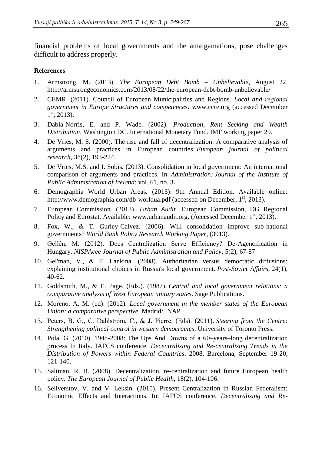financial problems of local governments and the amalgamations, pose challenges difficult to address properly.

## **References**

- 1. Armstrong, M. (2013). *The European Debt Bomb – Unbelievable*, [August 22.](http://armstrongeconomics.com/2013/08/22/the-european-debt-bomb-unbelievable/)  <http://armstrongeconomics.com/2013/08/22/the-european-debt-bomb-unbelievable/>
- 2. CEMR. (2011). Council of European Municipalities and Regions. *Local and regional government in Europe Structures and competences*. [www.ccre.org](http://www.ccre.org/) (accessed December  $1<sup>st</sup>$ , 2013).
- 3. Dabla-Norris, E. and P. Wade. (2002). *Production, Rent Seeking and Wealth Distribution*. Washington DC. International Monetary Fund. IMF working paper 29.
- 4. De Vries, M. S. (2000). The rise and fall of decentralization: A comparative analysis of arguments and practices in European countries. *European journal of political research*, 38(2), 193-224.
- 5. De Vries, M.S. and I. Sobis. (2013). Consolidation in local government: An international comparison of arguments and practices. In: *Administration: Journal of the Institute of Public Administration of Ireland*: vol. 61, no. 3*.*
- 6. Demographia World Urban Areas. (2013). 9th Annual Edition. Available online: http://www.demographia.com/db-worldua.pdf (accessed on December, 1<sup>st</sup>, 2013).
- 7. European Commission. (2013). *Urban Audit.* European Commission, DG Regional Policy and Eurostat. Available: [www.urbanaudit.org.](http://www.urbanaudit.org/) (Accessed December  $1<sup>st</sup>$ , 2013).
- 8. Fox, W., & T. Gurley-Calvez. (2006). Will consolidation improve sub-national governments? *World Bank Policy Research Working Paper*, (3913).
- 9. Gellén, M. (2012). Does Centralization Serve Efficiency? De-Agencification in Hungary. *NISPAcee Journal of Public Administration and Policy*, 5(2), 67-87.
- 10. Gel'man, V., & T. Lankina. (2008). Authoritarian versus democratic diffusions: explaining institutional choices in Russia's local government. *Post-Soviet Affairs*, 24(1), 40-62.
- 11. Goldsmith, M., & E. Page. (Eds.). (1987). *Central and local government relations: a comparative analysis of West European unitary states*. Sage Publications.
- 12. Moreno, A. M. (ed). (2012). *Local government in the member states of the European Union: a comparative perspective*. Madrid: INAP
- 13. Peters, B. G., C. Dahlström, C., & J. Pierre. (Eds). (2011). *Steering from the Centre: Strengthening political control in western democracies*. University of Toronto Press.
- 14. Pola, G. (2010). 1948-2008: The Ups And Downs of a 60–years–long decentralization process In Italy. IAFCS conference. *Decentralizing and Re-centralizing Trends in the Distribution of Powers within Federal Countries*. 2008, Barcelona, September 19-20, 121-140.
- 15. Saltman, R. B. (2008). Decentralization, re-centralization and future European health policy. *The European Journal of Public Health*, 18(2), 104-106.
- 16. Seliverstov, V. and V. Leksin. (2010). Present Centralization in Russian Federalism: Economic Effects and Interactions. In: IAFCS conference. *Decentralizing and Re-*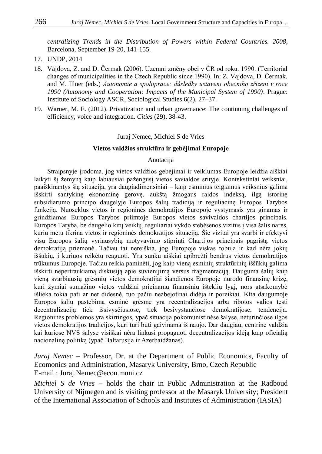*centralizing Trends in the Distribution of Powers within Federal Countries. 2008*, Barcelona, September 19-20, 141-155.

- 17. UNDP, 2014
- 18. Vajdova, Z. and D. Čermak (2006). Uzemni změny obci v ČR od roku. 1990. (Territorial changes of municipalities in the Czech Republic since 1990). In: Z. Vajdova, D. Čermak, and M. Illner (eds.) *Autonomie a spoluprace: důsledky ustaveni obecniho zřizeni v roce 1990 (Autonomy and Cooperation: Impacts of the Municipal System of 1990)*. Prague: Institute of Sociology ASCR, Sociological Studies 6(2), 27–37.
- 19. Warner, M. E. (2012). Privatization and urban governance: The continuing challenges of efficiency, voice and integration. *Cities* (29), 38-43.

#### Juraj Nemec, Michiel S de Vries

#### **Vietos valdžios struktūra ir gebėjimai Europoje**

#### Anotacija

Straipsnyje įrodoma, jog vietos valdžios gebėjimai ir veiklumas Europoje leidžia aiškiai laikyti šį žemyną kaip labiausiai pažengusį vietos savialdos srityje. Kontekstiniai veiksniai, paaiškinantys šią situaciją, yra daugiadimensiniai – kaip esminius teigiamus veiksnius galima išskirti santykinę ekonominę gerovę, aukštą žmogaus raidos indeksą, ilgą istorinę subsidiarumo principo daugelyje Europos šalių tradiciją ir reguliacinę Europos Tarybos funkciją. Nuoseklus vietos ir regioninės demokratijos Europoje vystymasis yra ginamas ir grindžiamas Europos Tarybos priimtoje Europos vietos savivaldos chartijos principais. Europos Taryba, be daugelio kitų veiklų, reguliariai vykdo stebėsenos vizitus į visa šalis nares, kurių metu tikrina vietos ir regioninės demokratijos situaciją. Šie vizitai yra svarbi ir efektyvi visų Europos šalių vyriausybių motyvavimo stiprinti Chartijos principais pagrįstą vietos demokratiją priemonė. Tačiau tai nereiškia, jog Europoje viskas tobula ir kad nėra jokių iššūkių, į kuriuos reikėtų reaguoti. Yra sunku aiškiai apibrėžti bendrus vietos demokratijos trūkumus Europoje. Tačiau reikia paminėti, jog kaip vieną esminių struktūrinių iššūkių galima išskirti nepertraukiamą diskusiją apie suvienijimą versus fragmentaciją. Dauguma šalių kaip vieną svarbiausių grėsmių vietos demokratijai šiandienos Europoje nurodo finansinę krizę, kuri žymiai sumažino vietos valdžiai prieinamų finansinių išteklių lygį, nors atsakomybė išlieka tokia pati ar net didesnė, tuo pačiu neabejotinai didėja ir poreikiai. Kita daugumoje Europos šalių pastebima esminė grėsmė yra recentralizacijos arba ribotos valios tęsti decentralizaciją tiek išsivysčiusiose, tiek besivystančiose demokratijose, tendencija. Regioninės problemos yra skirtingos, ypač situacija pokomunistinėse šalyse, neturinčiose ilgos vietos demokratijos tradicijos, kuri turi būti gaivinama iš naujo. Dar daugiau, centrinė valdžia kai kuriose NVS šalyse visiškai nėra linkusi propaguoti decentralizacijos idėją kaip oficialią nacionalinę politiką (ypač Baltarusija ir Azerbaidžanas).

*Juraj Nemec* **–** Professor, Dr. at the Department of Public Economics, Faculty of Ecomonics and Administration, Masaryk University, Brno, Czech Republic E-mail.: Juraj.Nemec@econ.muni.cz

*Michiel S de Vries* **–** holds the chair in Public Administration at the Radboud University of Nijmegen and is visiting professor at the Masaryk University; President of the International Association of Schools and Institutes of Administration (IASIA)